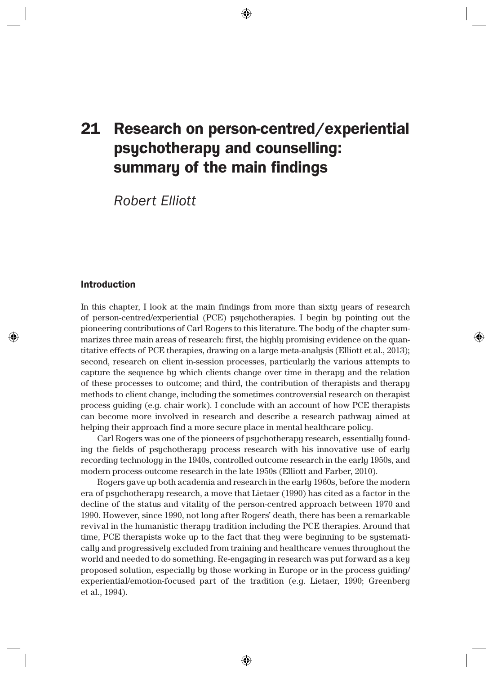# **21 Research on person-centred/experiential psychotherapy and counselling: summary of the main findings**

◈

*Robert Elliott*

# **Introduction**

⊕

In this chapter, I look at the main findings from more than sixty years of research of person-centred/experiential (PCE) psychotherapies. I begin by pointing out the pioneering contributions of Carl Rogers to this literature. The body of the chapter summarizes three main areas of research: first, the highly promising evidence on the quantitative effects of PCE therapies, drawing on a large meta-analysis (Elliott et al., 2013); second, research on client in-session processes, particularly the various attempts to capture the sequence by which clients change over time in therapy and the relation of these processes to outcome; and third, the contribution of therapists and therapy methods to client change, including the sometimes controversial research on therapist process guiding (e.g. chair work). I conclude with an account of how PCE therapists can become more involved in research and describe a research pathway aimed at helping their approach find a more secure place in mental healthcare policy.

⊕

Carl Rogers was one of the pioneers of psychotherapy research, essentially founding the fields of psychotherapy process research with his innovative use of early recording technology in the 1940s, controlled outcome research in the early 1950s, and modern process-outcome research in the late 1950s (Elliott and Farber, 2010).

Rogers gave up both academia and research in the early 1960s, before the modern era of psychotherapy research, a move that Lietaer (1990) has cited as a factor in the decline of the status and vitality of the person-centred approach between 1970 and 1990. However, since 1990, not long after Rogers' death, there has been a remarkable revival in the humanistic therapy tradition including the PCE therapies. Around that time, PCE therapists woke up to the fact that they were beginning to be systematically and progressively excluded from training and healthcare venues throughout the world and needed to do something. Re-engaging in research was put forward as a key proposed solution, especially by those working in Europe or in the process guiding/ experiential/emotion-focused part of the tradition (e.g. Lietaer, 1990; Greenberg et al., 1994).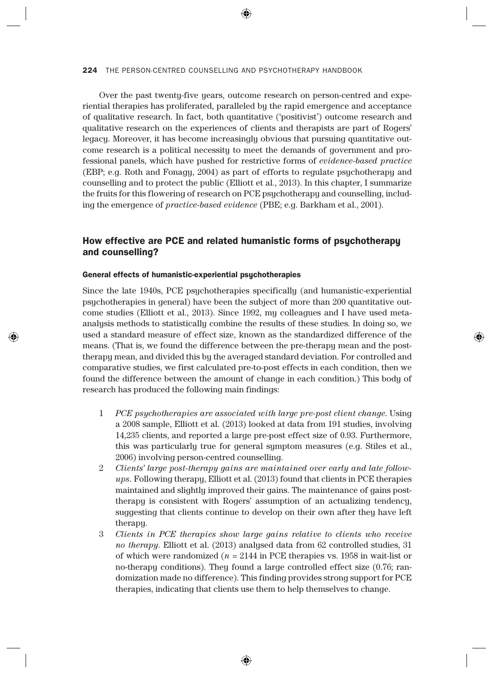Over the past twenty-five years, outcome research on person-centred and experiential therapies has proliferated, paralleled by the rapid emergence and acceptance of qualitative research. In fact, both quantitative ('positivist') outcome research and qualitative research on the experiences of clients and therapists are part of Rogers' legacy. Moreover, it has become increasingly obvious that pursuing quantitative outcome research is a political necessity to meet the demands of government and professional panels, which have pushed for restrictive forms of *evidence-based practice*  (EBP; e.g. Roth and Fonagy, 2004) as part of efforts to regulate psychotherapy and counselling and to protect the public (Elliott et al., 2013). In this chapter, I summarize the fruits for this flowering of research on PCE psychotherapy and counselling, including the emergence of *practice-based evidence* (PBE; e.g. Barkham et al., 2001).

⊕

# **How effective are PCE and related humanistic forms of psychotherapy and counselling?**

#### **General effects of humanistic-experiential psychotherapies**

Since the late 1940s, PCE psychotherapies specifically (and humanistic-experiential psychotherapies in general) have been the subject of more than 200 quantitative outcome studies (Elliott et al., 2013). Since 1992, my colleagues and I have used metaanalysis methods to statistically combine the results of these studies. In doing so, we used a standard measure of effect size, known as the standardized difference of the means. (That is, we found the difference between the pre-therapy mean and the posttherapy mean, and divided this by the averaged standard deviation. For controlled and comparative studies, we first calculated pre-to-post effects in each condition, then we found the difference between the amount of change in each condition.) This body of research has produced the following main findings:

⊕

- 1 *PCE psychotherapies are associated with large pre-post client change*. Using a 2008 sample, Elliott et al. (2013) looked at data from 191 studies, involving 14,235 clients, and reported a large pre-post effect size of 0.93. Furthermore, this was particularly true for general symptom measures (e.g. Stiles et al., 2006) involving person-centred counselling.
- 2 *Clients' large post-therapy gains are maintained over early and late followups.* Following therapy, Elliott et al. (2013) found that clients in PCE therapies maintained and slightly improved their gains. The maintenance of gains posttherapy is consistent with Rogers' assumption of an actualizing tendency, suggesting that clients continue to develop on their own after they have left therapy.
- 3 *Clients in PCE therapies show large gains relative to clients who receive no therapy*. Elliott et al. (2013) analysed data from 62 controlled studies, 31 of which were randomized (*n* = 2144 in PCE therapies vs. 1958 in wait-list or no-therapy conditions). They found a large controlled effect size (0.76; randomization made no difference). This finding provides strong support for PCE therapies, indicating that clients use them to help themselves to change.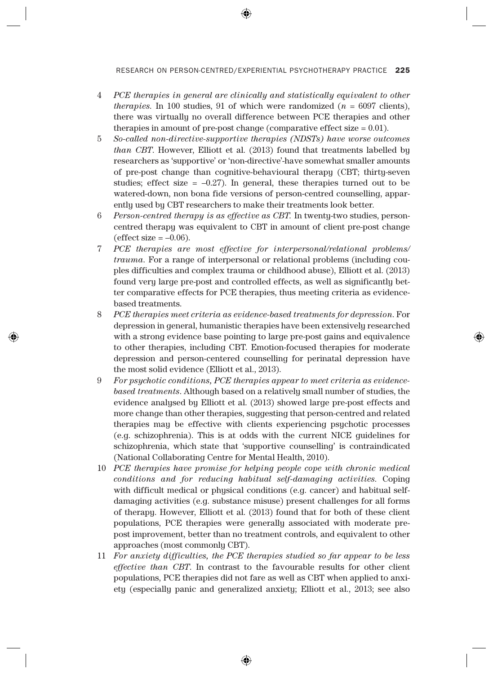## RESEARCH ON PERSON-CENTRED/EXPERIENTIAL PSYCHOTHERAPY PRACTICE **225**

4 *PCE therapies in general are clinically and statistically equivalent to other therapies.* In 100 studies, 91 of which were randomized ( $n = 6097$  clients), there was virtually no overall difference between PCE therapies and other therapies in amount of pre-post change (comparative effect size = 0.01).

◈

- 5 *So-called non-directive-supportive therapies (NDSTs) have worse outcomes than CBT*. However, Elliott et al. (2013) found that treatments labelled by researchers as 'supportive' or 'non-directive'-have somewhat smaller amounts of pre-post change than cognitive-behavioural therapy (CBT; thirty-seven studies; effect size  $= -0.27$ ). In general, these therapies turned out to be watered-down, non bona fide versions of person-centred counselling, apparently used by CBT researchers to make their treatments look better.
- 6 *Person-centred therapy is as effective as CBT.* In twenty-two studies, personcentred therapy was equivalent to CBT in amount of client pre-post change (effect size  $= -0.06$ ).
- 7 *PCE therapies are most effective for interpersonal/relational problems/ trauma*. For a range of interpersonal or relational problems (including couples difficulties and complex trauma or childhood abuse), Elliott et al. (2013) found very large pre-post and controlled effects, as well as significantly better comparative effects for PCE therapies, thus meeting criteria as evidencebased treatments.
- 8 *PCE therapies meet criteria as evidence-based treatments for depression*. For depression in general, humanistic therapies have been extensively researched with a strong evidence base pointing to large pre-post gains and equivalence to other therapies, including CBT. Emotion-focused therapies for moderate depression and person-centered counselling for perinatal depression have the most solid evidence (Elliott et al., 2013).

⊕

- 9 *For psychotic conditions, PCE therapies appear to meet criteria as evidencebased treatments*. Although based on a relatively small number of studies, the evidence analysed by Elliott et al. (2013) showed large pre-post effects and more change than other therapies, suggesting that person-centred and related therapies may be effective with clients experiencing psychotic processes (e.g. schizophrenia). This is at odds with the current NICE guidelines for schizophrenia, which state that 'supportive counselling' is contraindicated (National Collaborating Centre for Mental Health, 2010).
- 10 *PCE therapies have promise for helping people cope with chronic medical conditions and for reducing habitual self-damaging activities.* Coping with difficult medical or physical conditions (e.g. cancer) and habitual selfdamaging activities (e.g. substance misuse) present challenges for all forms of therapy. However, Elliott et al. (2013) found that for both of these client populations, PCE therapies were generally associated with moderate prepost improvement, better than no treatment controls, and equivalent to other approaches (most commonly CBT).
- 11 *For anxiety difficulties, the PCE therapies studied so far appear to be less effective than CBT*. In contrast to the favourable results for other client populations, PCE therapies did not fare as well as CBT when applied to anxiety (especially panic and generalized anxiety; Elliott et al., 2013; see also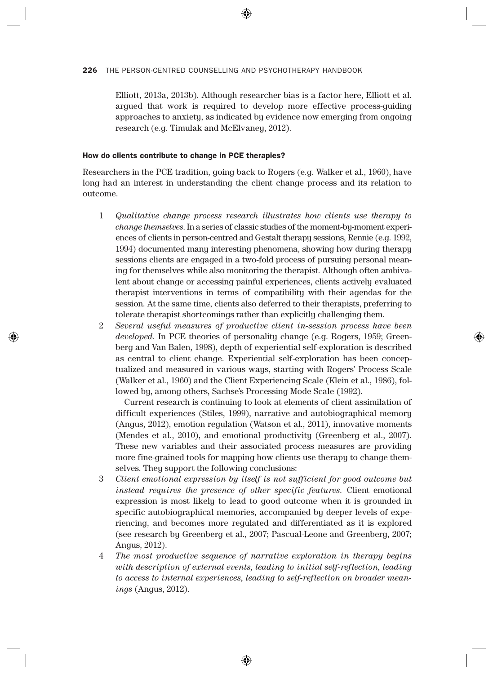⊕

Elliott, 2013a, 2013b). Although researcher bias is a factor here, Elliott et al. argued that work is required to develop more effective process-guiding approaches to anxiety, as indicated by evidence now emerging from ongoing research (e.g. Timulak and McElvaney, 2012).

# **How do clients contribute to change in PCE therapies?**

Researchers in the PCE tradition, going back to Rogers (e.g. Walker et al., 1960), have long had an interest in understanding the client change process and its relation to outcome.

- 1 *Qualitative change process research illustrates how clients use therapy to change themselves*. In a series of classic studies of the moment-by-moment experiences of clients in person-centred and Gestalt therapy sessions, Rennie (e.g. 1992, 1994) documented many interesting phenomena, showing how during therapy sessions clients are engaged in a two-fold process of pursuing personal meaning for themselves while also monitoring the therapist. Although often ambivalent about change or accessing painful experiences, clients actively evaluated therapist interventions in terms of compatibility with their agendas for the session. At the same time, clients also deferred to their therapists, preferring to tolerate therapist shortcomings rather than explicitly challenging them.
- 2 *Several useful measures of productive client in-session process have been developed.* In PCE theories of personality change (e.g. Rogers, 1959; Greenberg and Van Balen, 1998), depth of experiential self-exploration is described as central to client change. Experiential self-exploration has been conceptualized and measured in various ways, starting with Rogers' Process Scale (Walker et al., 1960) and the Client Experiencing Scale (Klein et al., 1986), followed by, among others, Sachse's Processing Mode Scale (1992).

⊕

 Current research is continuing to look at elements of client assimilation of difficult experiences (Stiles, 1999), narrative and autobiographical memory (Angus, 2012), emotion regulation (Watson et al., 2011), innovative moments (Mendes et al., 2010), and emotional productivity (Greenberg et al., 2007). These new variables and their associated process measures are providing more fine-grained tools for mapping how clients use therapy to change themselves. They support the following conclusions:

- 3 *Client emotional expression by itself is not sufficient for good outcome but instead requires the presence of other specific features.* Client emotional expression is most likely to lead to good outcome when it is grounded in specific autobiographical memories, accompanied by deeper levels of experiencing, and becomes more regulated and differentiated as it is explored (see research by Greenberg et al., 2007; Pascual-Leone and Greenberg, 2007; Angus, 2012).
- 4 *The most productive sequence of narrative exploration in therapy begins with description of external events, leading to initial self-reflection, leading to access to internal experiences, leading to self-reflection on broader meanings* (Angus, 2012).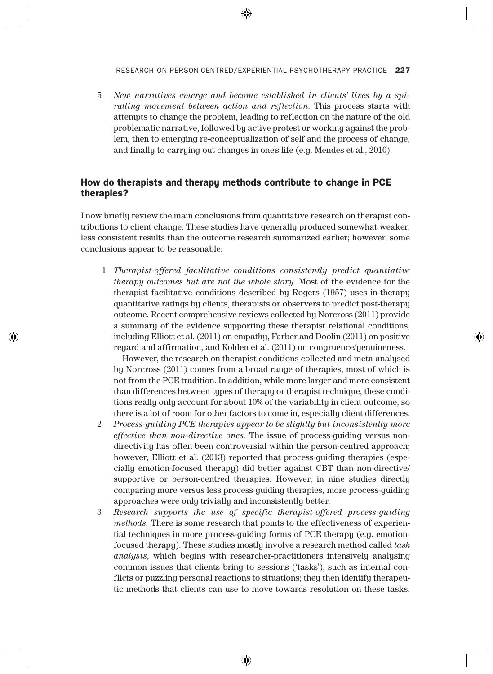## RESEARCH ON PERSON-CENTRED/EXPERIENTIAL PSYCHOTHERAPY PRACTICE **227**

5 *New narratives emerge and become established in clients' lives by a spiralling movement between action and reflection.* This process starts with attempts to change the problem, leading to reflection on the nature of the old problematic narrative, followed by active protest or working against the problem, then to emerging re-conceptualization of self and the process of change, and finally to carrying out changes in one's life (e.g. Mendes et al., 2010).

⊕

# **How do therapists and therapy methods contribute to change in PCE therapies?**

I now briefly review the main conclusions from quantitative research on therapist contributions to client change. These studies have generally produced somewhat weaker, less consistent results than the outcome research summarized earlier; however, some conclusions appear to be reasonable:

1 *Therapist-offered facilitative conditions consistently predict quantiative therapy outcomes but are not the whole story*. Most of the evidence for the therapist facilitative conditions described by Rogers (1957) uses in-therapy quantitative ratings by clients, therapists or observers to predict post-therapy outcome. Recent comprehensive reviews collected by Norcross (2011) provide a summary of the evidence supporting these therapist relational conditions, including Elliott et al. (2011) on empathy, Farber and Doolin (2011) on positive regard and affirmation, and Kolden et al. (2011) on congruence/genuineness.

⊕

 However, the research on therapist conditions collected and meta-analysed by Norcross (2011) comes from a broad range of therapies, most of which is not from the PCE tradition. In addition, while more larger and more consistent than differences between types of therapy or therapist technique, these conditions really only account for about 10% of the variability in client outcome, so there is a lot of room for other factors to come in, especially client differences.

- 2 *Process-guiding PCE therapies appear to be slightly but inconsistently more effective than non-directive ones.* The issue of process-guiding versus nondirectivity has often been controversial within the person-centred approach; however, Elliott et al. (2013) reported that process-guiding therapies (especially emotion-focused therapy) did better against CBT than non-directive/ supportive or person-centred therapies. However, in nine studies directly comparing more versus less process-guiding therapies, more process-guiding approaches were only trivially and inconsistently better.
- 3 *Research supports the use of specific therapist-offered process-guiding methods.* There is some research that points to the effectiveness of experiential techniques in more process-guiding forms of PCE therapy (e.g. emotionfocused therapy). These studies mostly involve a research method called *task analysis*, which begins with researcher-practitioners intensively analysing common issues that clients bring to sessions ('tasks'), such as internal conflicts or puzzling personal reactions to situations; they then identify therapeutic methods that clients can use to move towards resolution on these tasks.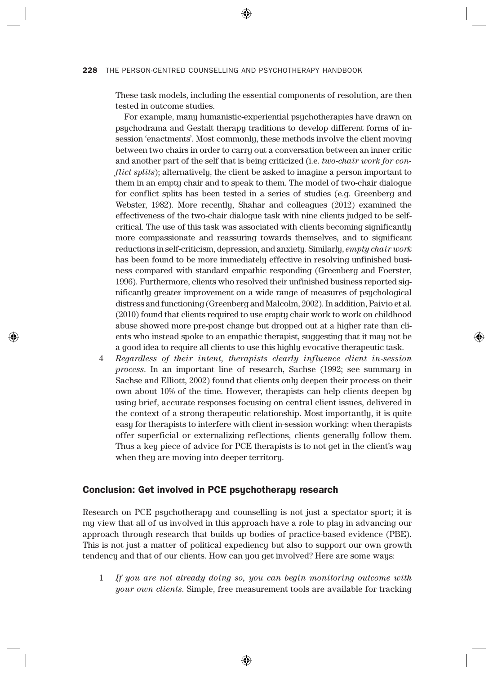◈

These task models, including the essential components of resolution, are then tested in outcome studies.

 For example, many humanistic-experiential psychotherapies have drawn on psychodrama and Gestalt therapy traditions to develop different forms of insession 'enactments'. Most commonly, these methods involve the client moving between two chairs in order to carry out a conversation between an inner critic and another part of the self that is being criticized (i.e. *two-chair work for conflict splits*); alternatively, the client be asked to imagine a person important to them in an empty chair and to speak to them. The model of two-chair dialogue for conflict splits has been tested in a series of studies (e.g. Greenberg and Webster, 1982). More recently, Shahar and colleagues (2012) examined the effectiveness of the two-chair dialogue task with nine clients judged to be selfcritical. The use of this task was associated with clients becoming significantly more compassionate and reassuring towards themselves, and to significant reductions in self-criticism, depression, and anxiety. Similarly, *empty chair work* has been found to be more immediately effective in resolving unfinished business compared with standard empathic responding (Greenberg and Foerster, 1996). Furthermore, clients who resolved their unfinished business reported significantly greater improvement on a wide range of measures of psychological distress and functioning (Greenberg and Malcolm, 2002). In addition, Paivio et al. (2010) found that clients required to use empty chair work to work on childhood abuse showed more pre-post change but dropped out at a higher rate than clients who instead spoke to an empathic therapist, suggesting that it may not be a good idea to require all clients to use this highly evocative therapeutic task.

⊕

4 *Regardless of their intent, therapists clearly influence client in-session process*. In an important line of research, Sachse (1992; see summary in Sachse and Elliott, 2002) found that clients only deepen their process on their own about 10% of the time. However, therapists can help clients deepen by using brief, accurate responses focusing on central client issues, delivered in the context of a strong therapeutic relationship. Most importantly, it is quite easy for therapists to interfere with client in-session working: when therapists offer superficial or externalizing reflections, clients generally follow them. Thus a key piece of advice for PCE therapists is to not get in the client's way when they are moving into deeper territory.

# **Conclusion: Get involved in PCE psychotherapy research**

Research on PCE psychotherapy and counselling is not just a spectator sport; it is my view that all of us involved in this approach have a role to play in advancing our approach through research that builds up bodies of practice-based evidence (PBE). This is not just a matter of political expediency but also to support our own growth tendency and that of our clients. How can you get involved? Here are some ways:

1 *If you are not already doing so, you can begin monitoring outcome with your own clients*. Simple, free measurement tools are available for tracking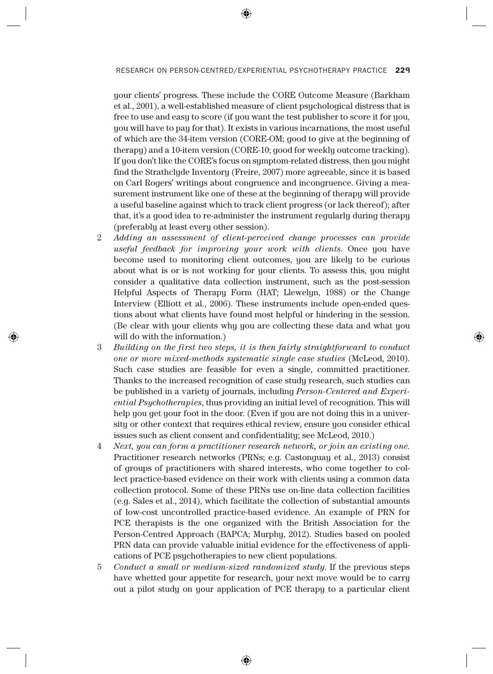◈

your clients' progress. These include the CORE Outcome Measure (Barkham et al., 2001), a well-established measure of client psychological distress that is free to use and easy to score (if you want the test publisher to score it for you, you will have to pay for that). It exists in various incarnations, the most useful of which are the 34-item version (CORE-OM; good to give at the beginning of therapy) and a 10-item version (CORE-10; good for weekly outcome tracking). If you don't like the CORE's focus on symptom-related distress, then you might find the Strathclyde Inventory (Freire, 2007) more agreeable, since it is based on Carl Rogers' writings about congruence and incongruence. Giving a measurement instrument like one of these at the beginning of therapy will provide a useful baseline against which to track client progress (or lack thereof); after that, it's a good idea to re-administer the instrument regularly during therapy (preferably at least every other session).

2 *Adding an assessment of client-perceived change processes can provide useful feedback for improving your work with clients*. Once you have become used to monitoring client outcomes, you are likely to be curious about what is or is not working for your clients. To assess this, you might consider a qualitative data collection instrument, such as the post-session Helpful Aspects of Therapy Form (HAT; Llewelyn, 1988) or the Change Interview (Elliott et al., 2006). These instruments include open-ended questions about what clients have found most helpful or hindering in the session. (Be clear with your clients why you are collecting these data and what you will do with the information.)

⊕

- 3 *Building on the first two steps, it is then fairly straightforward to conduct one or more mixed-methods systematic single case studies* (McLeod, 2010). Such case studies are feasible for even a single, committed practitioner. Thanks to the increased recognition of case study research, such studies can be published in a variety of journals, including *Person-Centered and Experiential Psychotherapies*, thus providing an initial level of recognition. This will help you get your foot in the door. (Even if you are not doing this in a university or other context that requires ethical review, ensure you consider ethical issues such as client consent and confidentiality; see McLeod, 2010.)
- 4 *Next, you can form a practitioner research network, or join an existing one*. Practitioner research networks (PRNs; e.g. Castonguay et al., 2013) consist of groups of practitioners with shared interests, who come together to collect practice-based evidence on their work with clients using a common data collection protocol. Some of these PRNs use on-line data collection facilities (e.g. Sales et al., 2014), which facilitate the collection of substantial amounts of low-cost uncontrolled practice-based evidence. An example of PRN for PCE therapists is the one organized with the British Association for the Person-Centred Approach (BAPCA; Murphy, 2012). Studies based on pooled PRN data can provide valuable initial evidence for the effectiveness of applications of PCE psychotherapies to new client populations.
- 5 *Conduct a small or medium-sized randomized study*. If the previous steps have whetted your appetite for research, your next move would be to carry out a pilot study on your application of PCE therapy to a particular client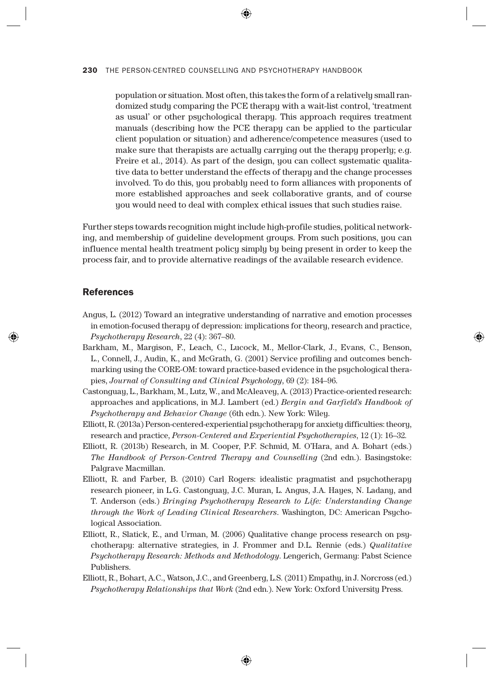⊕

 population or situation. Most often, this takes the form of a relatively small randomized study comparing the PCE therapy with a wait-list control, 'treatment as usual' or other psychological therapy. This approach requires treatment manuals (describing how the PCE therapy can be applied to the particular client population or situation) and adherence/competence measures (used to make sure that therapists are actually carrying out the therapy properly; e.g. Freire et al., 2014). As part of the design, you can collect systematic qualitative data to better understand the effects of therapy and the change processes involved. To do this, you probably need to form alliances with proponents of more established approaches and seek collaborative grants, and of course you would need to deal with complex ethical issues that such studies raise.

Further steps towards recognition might include high-profile studies, political networking, and membership of guideline development groups. From such positions, you can influence mental health treatment policy simply by being present in order to keep the process fair, and to provide alternative readings of the available research evidence.

## **References**

Angus, L. (2012) Toward an integrative understanding of narrative and emotion processes in emotion-focused therapy of depression: implications for theory, research and practice, *Psychotherapy Research*, 22 (4): 367–80.

⊕

- Barkham, M., Margison, F., Leach, C., Lucock, M., Mellor-Clark, J., Evans, C., Benson, L., Connell, J., Audin, K., and McGrath, G. (2001) Service profiling and outcomes benchmarking using the CORE-OM: toward practice-based evidence in the psychological therapies, *Journal of Consulting and Clinical Psychology*, 69 (2): 184–96.
- Castonguay, L., Barkham, M., Lutz, W., and McAleavey, A. (2013) Practice-oriented research: approaches and applications, in M.J. Lambert (ed.) *Bergin and Garfield's Handbook of Psychotherapy and Behavior Change* (6th edn.). New York: Wiley.
- Elliott, R. (2013a) Person-centered-experiential psychotherapy for anxiety difficulties: theory, research and practice, *Person-Centered and Experiential Psychotherapies*, 12 (1): 16–32*.*
- Elliott, R. (2013b) Research, in M. Cooper, P.F. Schmid, M. O'Hara, and A. Bohart (eds.) *The Handbook of Person-Centred Therapy and Counselling* (2nd edn.). Basingstoke: Palgrave Macmillan.
- Elliott, R. and Farber, B. (2010) Carl Rogers: idealistic pragmatist and psychotherapy research pioneer, in L.G. Castonguay, J.C. Muran, L. Angus, J.A. Hayes, N. Ladany, and T. Anderson (eds.) *Bringing Psychotherapy Research to Life: Understanding Change through the Work of Leading Clinical Researchers*. Washington, DC: American Psychological Association.
- Elliott, R., Slatick, E., and Urman, M. (2006) Qualitative change process research on psychotherapy: alternative strategies, in J. Frommer and D.L. Rennie (eds.) *Qualitative Psychotherapy Research: Methods and Methodology*. Lengerich, Germany: Pabst Science Publishers.
- Elliott, R., Bohart, A.C., Watson, J.C., and Greenberg, L.S. (2011) Empathy, in J. Norcross (ed.) *Psychotherapy Relationships that Work* (2nd edn.). New York: Oxford University Press.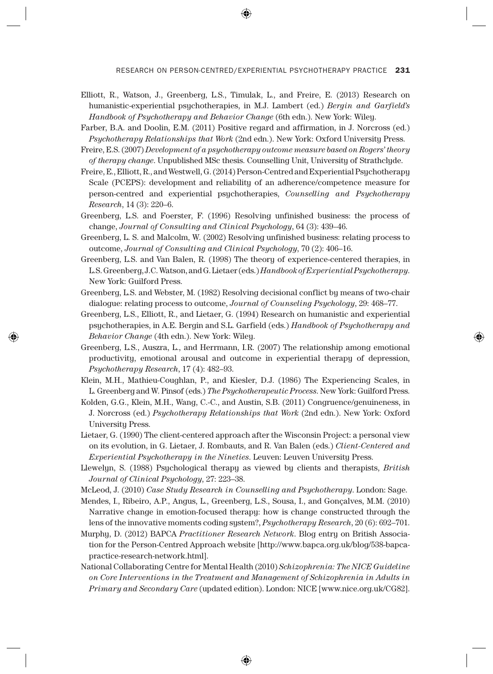## RESEARCH ON PERSON-CENTRED/EXPERIENTIAL PSYCHOTHERAPY PRACTICE **231**

Elliott, R., Watson, J., Greenberg, L.S., Timulak, L., and Freire, E. (2013) Research on humanistic-experiential psychotherapies, in M.J. Lambert (ed.) *Bergin and Garfield's Handbook of Psychotherapy and Behavior Change* (6th edn.). New York: Wiley.

⊕

- Farber, B.A. and Doolin, E.M. (2011) Positive regard and affirmation, in J. Norcross (ed.) *Psychotherapy Relationships that Work* (2nd edn.). New York: Oxford University Press.
- Freire, E.S. (2007) *Development of a psychotherapy outcome measure based on Rogers' theory of therapy change*. Unpublished MSc thesis. Counselling Unit, University of Strathclyde.
- Freire, E., Elliott, R., and Westwell, G. (2014) Person-Centred and Experiential Psychotherapy Scale (PCEPS): development and reliability of an adherence/competence measure for person-centred and experiential psychotherapies, *Counselling and Psychotherapy Research*, 14 (3): 220–6.
- Greenberg, L.S. and Foerster, F. (1996) Resolving unfinished business: the process of change, *Journal of Consulting and Clinical Psychology*, 64 (3): 439–46.
- Greenberg, L. S. and Malcolm, W. (2002) Resolving unfinished business: relating process to outcome, *Journal of Consulting and Clinical Psychology*, 70 (2): 406–16.
- Greenberg, L.S. and Van Balen, R. (1998) The theory of experience-centered therapies, in L.S. Greenberg, J.C. Watson, and G. Lietaer (eds.) *Handbook of Experiential Psychotherapy*. New York: Guilford Press.
- Greenberg, L.S. and Webster, M. (1982) Resolving decisional conflict by means of two-chair dialogue: relating process to outcome, *Journal of Counseling Psychology*, 29: 468–77.
- Greenberg, L.S., Elliott, R., and Lietaer, G. (1994) Research on humanistic and experiential psychotherapies, in A.E. Bergin and S.L. Garfield (eds.) *Handbook of Psychotherapy and Behavior Change* (4th edn.). New York: Wiley.

⊕

- Greenberg, L.S., Auszra, L., and Herrmann, I.R. (2007) The relationship among emotional productivity, emotional arousal and outcome in experiential therapy of depression, *Psychotherapy Research*, 17 (4): 482–93.
- Klein, M.H., Mathieu-Coughlan, P., and Kiesler, D.J. (1986) The Experiencing Scales, in L. Greenberg and W. Pinsof (eds.) *The Psychotherapeutic Process*. New York: Guilford Press.
- Kolden, G.G., Klein, M.H., Wang, C.-C., and Austin, S.B. (2011) Congruence/genuineness, in J. Norcross (ed.) *Psychotherapy Relationships that Work* (2nd edn.). New York: Oxford University Press.
- Lietaer, G. (1990) The client-centered approach after the Wisconsin Project: a personal view on its evolution, in G. Lietaer, J. Rombauts, and R. Van Balen (eds.) *Client-Centered and Experiential Psychotherapy in the Nineties*. Leuven: Leuven University Press.
- Llewelyn, S. (1988) Psychological therapy as viewed by clients and therapists, *British Journal of Clinical Psychology*, 27: 223–38.
- McLeod, J. (2010) *Case Study Research in Counselling and Psychotherapy*. London: Sage.
- Mendes, I., Ribeiro, A.P., Angus, L., Greenberg, L.S., Sousa, I., and Gonçalves, M.M. (2010) Narrative change in emotion-focused therapy: how is change constructed through the lens of the innovative moments coding system?, *Psychotherapy Research*, 20 (6): 692–701.
- Murphy, D. (2012) BAPCA *Practitioner Research Network*. Blog entry on British Association for the Person-Centred Approach website [http://www.bapca.org.uk/blog/538-bapcapractice-research-network.html].
- National Collaborating Centre for Mental Health (2010) *Schizophrenia: The NICE Guideline on Core Interventions in the Treatment and Management of Schizophrenia in Adults in Primary and Secondary Care* (updated edition). London: NICE [www.nice.org.uk/CG82].